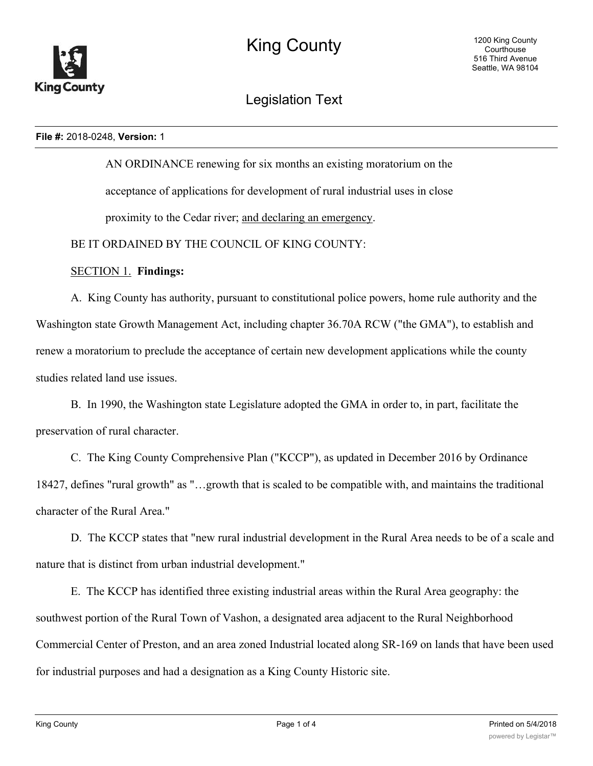

# Legislation Text

#### **File #:** 2018-0248, **Version:** 1

AN ORDINANCE renewing for six months an existing moratorium on the acceptance of applications for development of rural industrial uses in close proximity to the Cedar river; and declaring an emergency.

BE IT ORDAINED BY THE COUNCIL OF KING COUNTY:

# SECTION 1. **Findings:**

A. King County has authority, pursuant to constitutional police powers, home rule authority and the Washington state Growth Management Act, including chapter 36.70A RCW ("the GMA"), to establish and renew a moratorium to preclude the acceptance of certain new development applications while the county studies related land use issues.

B. In 1990, the Washington state Legislature adopted the GMA in order to, in part, facilitate the preservation of rural character.

C. The King County Comprehensive Plan ("KCCP"), as updated in December 2016 by Ordinance 18427, defines "rural growth" as "…growth that is scaled to be compatible with, and maintains the traditional character of the Rural Area."

D. The KCCP states that "new rural industrial development in the Rural Area needs to be of a scale and nature that is distinct from urban industrial development."

E. The KCCP has identified three existing industrial areas within the Rural Area geography: the southwest portion of the Rural Town of Vashon, a designated area adjacent to the Rural Neighborhood Commercial Center of Preston, and an area zoned Industrial located along SR-169 on lands that have been used for industrial purposes and had a designation as a King County Historic site.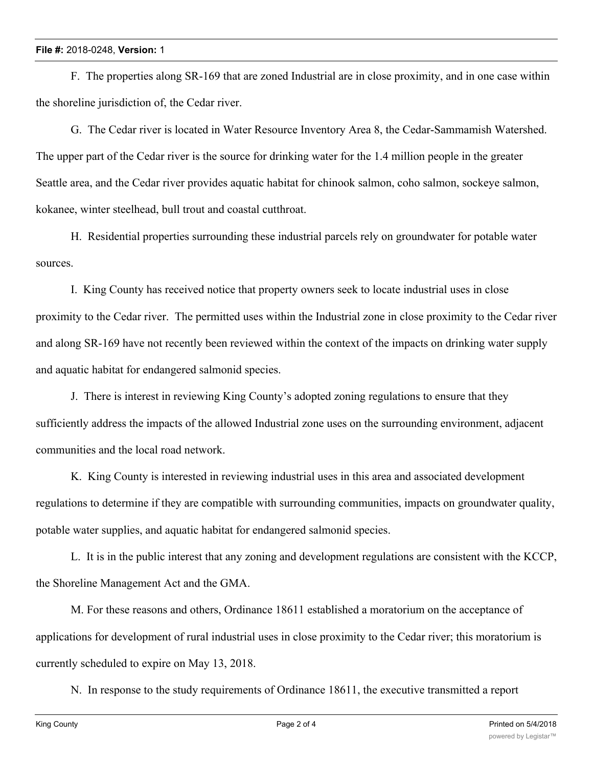## **File #:** 2018-0248, **Version:** 1

F. The properties along SR-169 that are zoned Industrial are in close proximity, and in one case within the shoreline jurisdiction of, the Cedar river.

G. The Cedar river is located in Water Resource Inventory Area 8, the Cedar-Sammamish Watershed. The upper part of the Cedar river is the source for drinking water for the 1.4 million people in the greater Seattle area, and the Cedar river provides aquatic habitat for chinook salmon, coho salmon, sockeye salmon, kokanee, winter steelhead, bull trout and coastal cutthroat.

H. Residential properties surrounding these industrial parcels rely on groundwater for potable water sources.

I. King County has received notice that property owners seek to locate industrial uses in close proximity to the Cedar river. The permitted uses within the Industrial zone in close proximity to the Cedar river and along SR-169 have not recently been reviewed within the context of the impacts on drinking water supply and aquatic habitat for endangered salmonid species.

J. There is interest in reviewing King County's adopted zoning regulations to ensure that they sufficiently address the impacts of the allowed Industrial zone uses on the surrounding environment, adjacent communities and the local road network.

K. King County is interested in reviewing industrial uses in this area and associated development regulations to determine if they are compatible with surrounding communities, impacts on groundwater quality, potable water supplies, and aquatic habitat for endangered salmonid species.

L. It is in the public interest that any zoning and development regulations are consistent with the KCCP, the Shoreline Management Act and the GMA.

M. For these reasons and others, Ordinance 18611 established a moratorium on the acceptance of applications for development of rural industrial uses in close proximity to the Cedar river; this moratorium is currently scheduled to expire on May 13, 2018.

N. In response to the study requirements of Ordinance 18611, the executive transmitted a report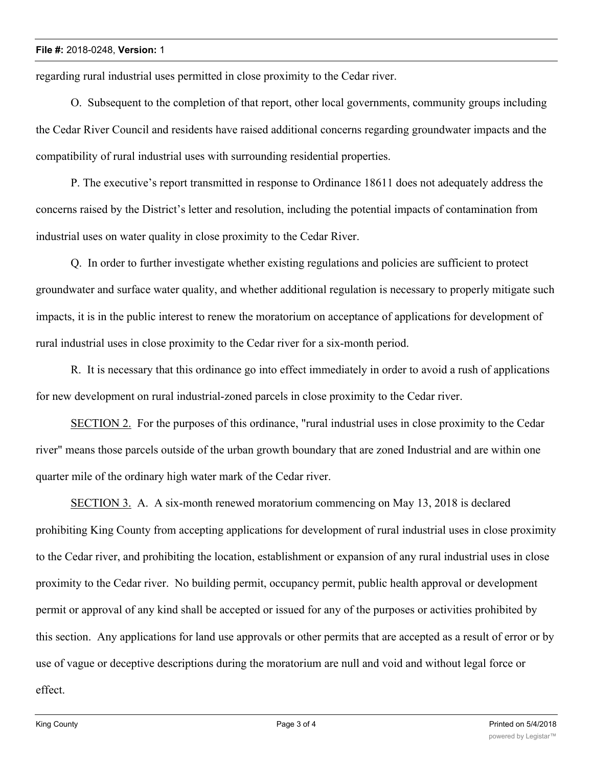#### **File #:** 2018-0248, **Version:** 1

regarding rural industrial uses permitted in close proximity to the Cedar river.

O. Subsequent to the completion of that report, other local governments, community groups including the Cedar River Council and residents have raised additional concerns regarding groundwater impacts and the compatibility of rural industrial uses with surrounding residential properties.

P. The executive's report transmitted in response to Ordinance 18611 does not adequately address the concerns raised by the District's letter and resolution, including the potential impacts of contamination from industrial uses on water quality in close proximity to the Cedar River.

Q. In order to further investigate whether existing regulations and policies are sufficient to protect groundwater and surface water quality, and whether additional regulation is necessary to properly mitigate such impacts, it is in the public interest to renew the moratorium on acceptance of applications for development of rural industrial uses in close proximity to the Cedar river for a six-month period.

R. It is necessary that this ordinance go into effect immediately in order to avoid a rush of applications for new development on rural industrial-zoned parcels in close proximity to the Cedar river.

SECTION 2. For the purposes of this ordinance, "rural industrial uses in close proximity to the Cedar river" means those parcels outside of the urban growth boundary that are zoned Industrial and are within one quarter mile of the ordinary high water mark of the Cedar river.

SECTION 3. A. A six-month renewed moratorium commencing on May 13, 2018 is declared prohibiting King County from accepting applications for development of rural industrial uses in close proximity to the Cedar river, and prohibiting the location, establishment or expansion of any rural industrial uses in close proximity to the Cedar river. No building permit, occupancy permit, public health approval or development permit or approval of any kind shall be accepted or issued for any of the purposes or activities prohibited by this section. Any applications for land use approvals or other permits that are accepted as a result of error or by use of vague or deceptive descriptions during the moratorium are null and void and without legal force or effect.